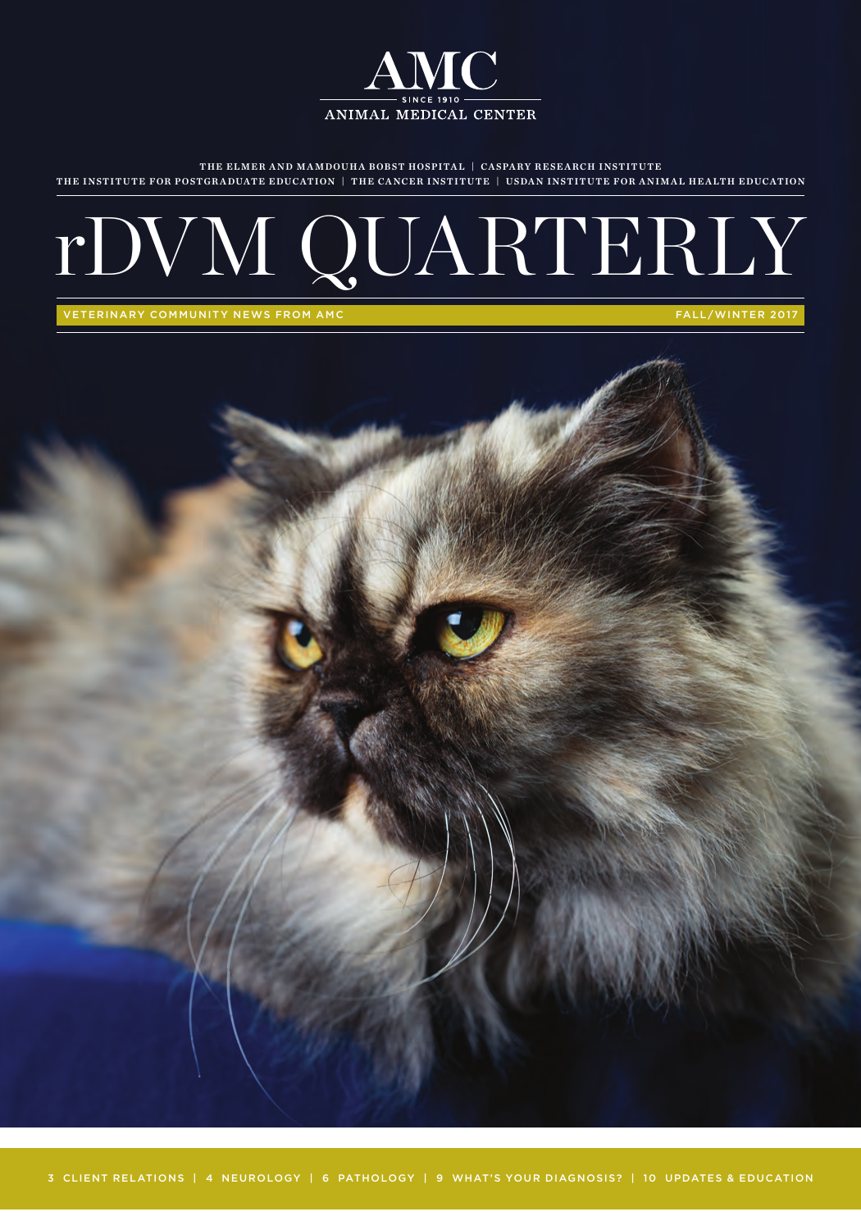

rDVM QUARTERLY

THE ELMER AND MAMDOUHA BOBST HOSPITAL | CASPARY RESEARCH INSTITUTE THE INSTITUTE FOR POSTGRADUATE EDUCATION | THE CANCER INSTITUTE | USDAN INSTITUTE FOR ANIMAL HEALTH EDUCATION



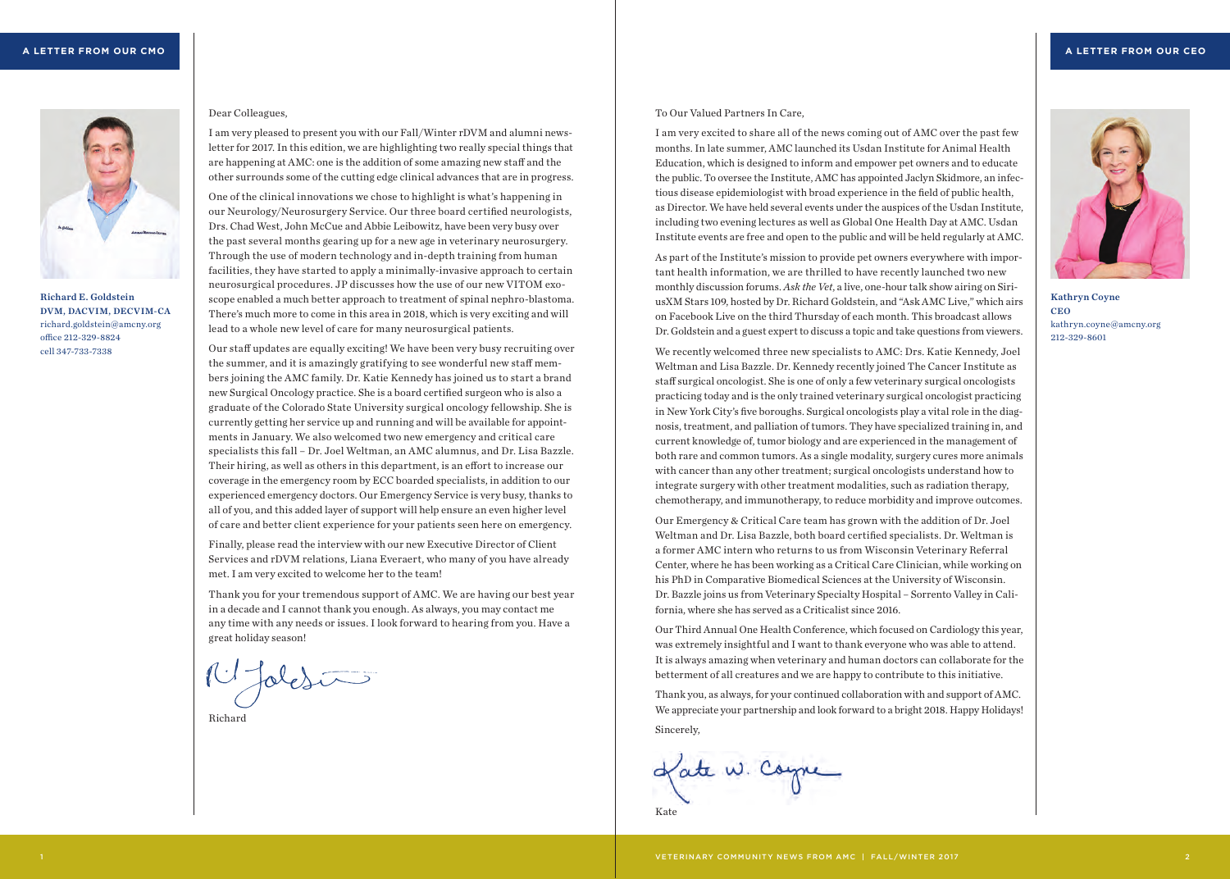

Richard E. Goldstein DVM, DACVIM, DECVIM-CA richard.goldstein@amcny.org office 212-329-8824 cell 347-733-7338

### Dear Colleagues,

I am very pleased to present you with our Fall/Winter rDVM and alumni newsletter for 2017. In this edition, we are highlighting two really special things that are happening at AMC: one is the addition of some amazing new staff and the other surrounds some of the cutting edge clinical advances that are in progress.

One of the clinical innovations we chose to highlight is what's happening in our Neurology/Neurosurgery Service. Our three board certified neurologists, Drs. Chad West, John McCue and Abbie Leibowitz, have been very busy over the past several months gearing up for a new age in veterinary neurosurgery. Through the use of modern technology and in-depth training from human facilities, they have started to apply a minimally-invasive approach to certain neurosurgical procedures. JP discusses how the use of our new VITOM exoscope enabled a much better approach to treatment of spinal nephro-blastoma. There's much more to come in this area in 2018, which is very exciting and will lead to a whole new level of care for many neurosurgical patients.

Our staff updates are equally exciting! We have been very busy recruiting over the summer, and it is amazingly gratifying to see wonderful new staff members joining the AMC family. Dr. Katie Kennedy has joined us to start a brand new Surgical Oncology practice. She is a board certified surgeon who is also a graduate of the Colorado State University surgical oncology fellowship. She is currently getting her service up and running and will be available for appointments in January. We also welcomed two new emergency and critical care specialists this fall – Dr. Joel Weltman, an AMC alumnus, and Dr. Lisa Bazzle. Their hiring, as well as others in this department, is an effort to increase our coverage in the emergency room by ECC boarded specialists, in addition to our experienced emergency doctors. Our Emergency Service is very busy, thanks to all of you, and this added layer of support will help ensure an even higher level of care and better client experience for your patients seen here on emergency.

Finally, please read the interview with our new Executive Director of Client Services and rDVM relations, Liana Everaert, who many of you have already met. I am very excited to welcome her to the team!

Thank you for your tremendous support of AMC. We are having our best year in a decade and I cannot thank you enough. As always, you may contact me any time with any needs or issues. I look forward to hearing from you. Have a great holiday season!

14 Jolesia

Richard

## To Our Valued Partners In Care,

I am very excited to share all of the news coming out of AMC over the past few months. In late summer, AMC launched its Usdan Institute for Animal Health Education, which is designed to inform and empower pet owners and to educate the public. To oversee the Institute, AMC has appointed Jaclyn Skidmore, an infectious disease epidemiologist with broad experience in the field of public health, as Director. We have held several events under the auspices of the Usdan Institute, including two evening lectures as well as Global One Health Day at AMC. Usdan Institute events are free and open to the public and will be held regularly at AMC.

As part of the Institute's mission to provide pet owners everywhere with important health information, we are thrilled to have recently launched two new monthly discussion forums. *Ask the Vet*, a live, one-hour talk show airing on SiriusXM Stars 109, hosted by Dr. Richard Goldstein, and "Ask AMC Live," which airs on Facebook Live on the third Thursday of each month. This broadcast allows Dr. Goldstein and a guest expert to discuss a topic and take questions from viewers.



Kathryn Coyne CEO kathryn.coyne@amcny.org 212-329-8601

We recently welcomed three new specialists to AMC: Drs. Katie Kennedy, Joel Weltman and Lisa Bazzle. Dr. Kennedy recently joined The Cancer Institute as staff surgical oncologist. She is one of only a few veterinary surgical oncologists practicing today and is the only trained veterinary surgical oncologist practicing in New York City's five boroughs. Surgical oncologists play a vital role in the diagnosis, treatment, and palliation of tumors. They have specialized training in, and current knowledge of, tumor biology and are experienced in the management of both rare and common tumors. As a single modality, surgery cures more animals with cancer than any other treatment; surgical oncologists understand how to integrate surgery with other treatment modalities, such as radiation therapy, chemotherapy, and immunotherapy, to reduce morbidity and improve outcomes.

Our Emergency & Critical Care team has grown with the addition of Dr. Joel Weltman and Dr. Lisa Bazzle, both board certified specialists. Dr. Weltman is a former AMC intern who returns to us from Wisconsin Veterinary Referral Center, where he has been working as a Critical Care Clinician, while working on his PhD in Comparative Biomedical Sciences at the University of Wisconsin. Dr. Bazzle joins us from Veterinary Specialty Hospital – Sorrento Valley in California, where she has served as a Criticalist since 2016.

Our Third Annual One Health Conference, which focused on Cardiology this year, was extremely insightful and I want to thank everyone who was able to attend. It is always amazing when veterinary and human doctors can collaborate for the betterment of all creatures and we are happy to contribute to this initiative.

Thank you, as always, for your continued collaboration with and support of AMC. We appreciate your partnership and look forward to a bright 2018. Happy Holidays! Sincerely,

Late W. Corpe

Kate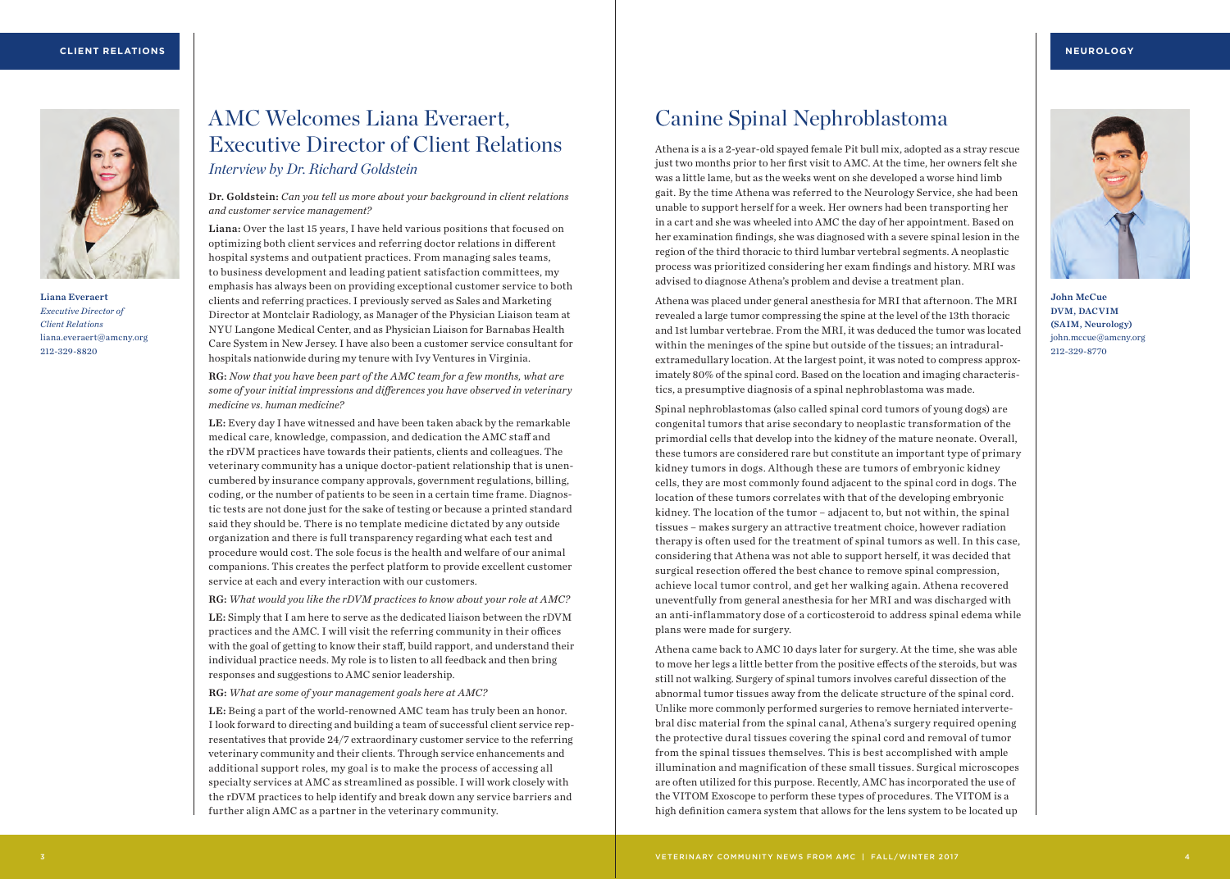

Liana Everaert *Executive Director of Client Relations* liana.everaert@amcny.org 212-329-8820

# AMC Welcomes Liana Everaert, Executive Director of Client Relations *Interview by Dr. Richard Goldstein*

Dr. Goldstein: *Can you tell us more about your background in client relations and customer service management?*

Liana: Over the last 15 years, I have held various positions that focused on optimizing both client services and referring doctor relations in different hospital systems and outpatient practices. From managing sales teams, to business development and leading patient satisfaction committees, my emphasis has always been on providing exceptional customer service to both clients and referring practices. I previously served as Sales and Marketing Director at Montclair Radiology, as Manager of the Physician Liaison team at NYU Langone Medical Center, and as Physician Liaison for Barnabas Health Care System in New Jersey. I have also been a customer service consultant for hospitals nationwide during my tenure with Ivy Ventures in Virginia.

RG: *Now that you have been part of the AMC team for a few months, what are some of your initial impressions and differences you have observed in veterinary medicine vs. human medicine?*

LE: Every day I have witnessed and have been taken aback by the remarkable medical care, knowledge, compassion, and dedication the AMC staff and the rDVM practices have towards their patients, clients and colleagues. The veterinary community has a unique doctor-patient relationship that is unencumbered by insurance company approvals, government regulations, billing, coding, or the number of patients to be seen in a certain time frame. Diagnostic tests are not done just for the sake of testing or because a printed standard said they should be. There is no template medicine dictated by any outside organization and there is full transparency regarding what each test and procedure would cost. The sole focus is the health and welfare of our animal companions. This creates the perfect platform to provide excellent customer service at each and every interaction with our customers.

RG: *What would you like the rDVM practices to know about your role at AMC?*

LE: Simply that I am here to serve as the dedicated liaison between the rDVM practices and the AMC. I will visit the referring community in their offices with the goal of getting to know their staff, build rapport, and understand their individual practice needs. My role is to listen to all feedback and then bring responses and suggestions to AMC senior leadership.

RG: *What are some of your management goals here at AMC?*

LE: Being a part of the world-renowned AMC team has truly been an honor. I look forward to directing and building a team of successful client service representatives that provide 24/7 extraordinary customer service to the referring veterinary community and their clients. Through service enhancements and additional support roles, my goal is to make the process of accessing all specialty services at AMC as streamlined as possible. I will work closely with the rDVM practices to help identify and break down any service barriers and further align AMC as a partner in the veterinary community.

# Canine Spinal Nephroblastoma

Athena is a is a 2-year-old spayed female Pit bull mix, adopted as a stray rescue just two months prior to her first visit to AMC. At the time, her owners felt she was a little lame, but as the weeks went on she developed a worse hind limb gait. By the time Athena was referred to the Neurology Service, she had been unable to support herself for a week. Her owners had been transporting her in a cart and she was wheeled into AMC the day of her appointment. Based on her examination findings, she was diagnosed with a severe spinal lesion in the region of the third thoracic to third lumbar vertebral segments. A neoplastic process was prioritized considering her exam findings and history. MRI was advised to diagnose Athena's problem and devise a treatment plan.

Athena was placed under general anesthesia for MRI that afternoon. The MRI revealed a large tumor compressing the spine at the level of the 13th thoracic and 1st lumbar vertebrae. From the MRI, it was deduced the tumor was located within the meninges of the spine but outside of the tissues; an intraduralextramedullary location. At the largest point, it was noted to compress approximately 80% of the spinal cord. Based on the location and imaging characteristics, a presumptive diagnosis of a spinal nephroblastoma was made.

Spinal nephroblastomas (also called spinal cord tumors of young dogs) are congenital tumors that arise secondary to neoplastic transformation of the primordial cells that develop into the kidney of the mature neonate. Overall, these tumors are considered rare but constitute an important type of primary kidney tumors in dogs. Although these are tumors of embryonic kidney cells, they are most commonly found adjacent to the spinal cord in dogs. The location of these tumors correlates with that of the developing embryonic kidney. The location of the tumor – adjacent to, but not within, the spinal tissues – makes surgery an attractive treatment choice, however radiation therapy is often used for the treatment of spinal tumors as well. In this case, considering that Athena was not able to support herself, it was decided that surgical resection offered the best chance to remove spinal compression, achieve local tumor control, and get her walking again. Athena recovered uneventfully from general anesthesia for her MRI and was discharged with an anti-inflammatory dose of a corticosteroid to address spinal edema while plans were made for surgery.

Athena came back to AMC 10 days later for surgery. At the time, she was able to move her legs a little better from the positive effects of the steroids, but was still not walking. Surgery of spinal tumors involves careful dissection of the abnormal tumor tissues away from the delicate structure of the spinal cord. Unlike more commonly performed surgeries to remove herniated intervertebral disc material from the spinal canal, Athena's surgery required opening the protective dural tissues covering the spinal cord and removal of tumor from the spinal tissues themselves. This is best accomplished with ample illumination and magnification of these small tissues. Surgical microscopes are often utilized for this purpose. Recently, AMC has incorporated the use of the VITOM Exoscope to perform these types of procedures. The VITOM is a high definition camera system that allows for the lens system to be located up



John McCue DVM, DACVIM (SAIM, Neurology) john.mccue@amcny.org 212-329-8770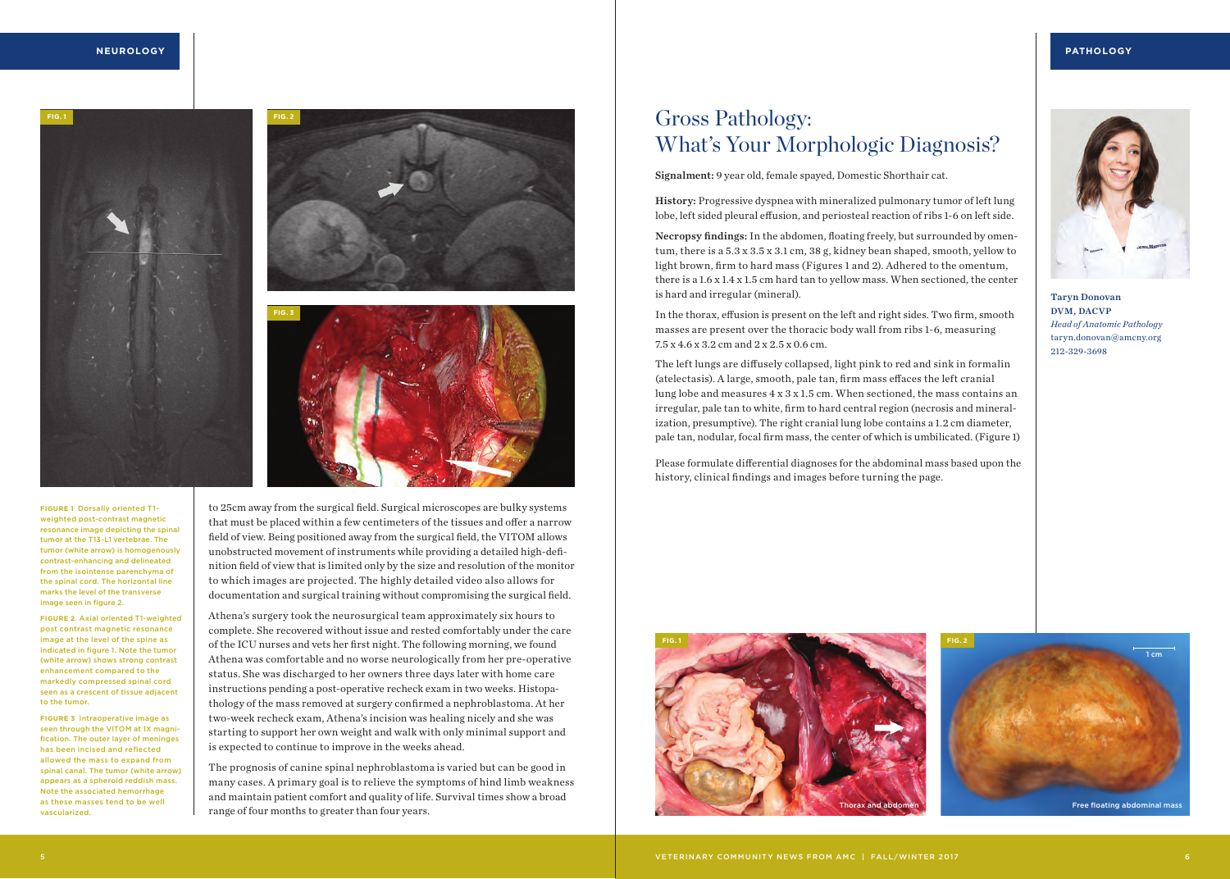### **NEUROLOGY**

## **PATHOLOGY**







**FIGURE 1** Dorsally oriented T1 weighted post-contrast magnetic resonance image depicting the spinal tumor at the T13-L1 vertebrae. The tumor (white arrow) is homogenously contrast-enhancing and delineated from the isointense parenchyma of the spinal cord. The horizontal line marks the level of the transverse image seen in figure 2.

**FIGURE 2** Axial oriented T1-weighted post contrast magnetic resonance image at the level of the spine as indicated in figure 1. Note the tumor (white arrow) shows strong contrast enhancement compared to the markedly compressed spinal cord seen as a crescent of tissue adjacent to the tumor.

**FIGURE 3** Intraoperative image as seen through the VITOM at 1X magnification. The outer layer of meninges has been incised and reflected allowed the mass to expand from spinal canal. The tumor (white arrow) appears as a spheroid reddish mass. Note the associated hemorrhage as these masses tend to be well vascularized.

to 25cm away from the surgical field. Surgical microscopes are bulky systems that must be placed within a few centimeters of the tissues and offer a narrow field of view. Being positioned away from the surgical field, the VITOM allows unobstructed movement of instruments while providing a detailed high-definition field of view that is limited only by the size and resolution of the monitor to which images are projected. The highly detailed video also allows for documentation and surgical training without compromising the surgical field.

Athena's surgery took the neurosurgical team approximately six hours to complete. She recovered without issue and rested comfortably under the care of the ICU nurses and vets her first night. The following morning, we found Athena was comfortable and no worse neurologically from her pre-operative status. She was discharged to her owners three days later with home care instructions pending a post-operative recheck exam in two weeks. Histopathology of the mass removed at surgery confirmed a nephroblastoma. At her two-week recheck exam, Athena's incision was healing nicely and she was starting to support her own weight and walk with only minimal support and is expected to continue to improve in the weeks ahead.

The prognosis of canine spinal nephroblastoma is varied but can be good in many cases. A primary goal is to relieve the symptoms of hind limb weakness and maintain patient comfort and quality of life. Survival times show a broad range of four months to greater than four years.

# Gross Pathology: What's Your Morphologic Diagnosis?

Signalment: 9 year old, female spayed, Domestic Shorthair cat.

History: Progressive dyspnea with mineralized pulmonary tumor of left lung lobe, left sided pleural effusion, and periosteal reaction of ribs 1-6 on left side.

Necropsy findings: In the abdomen, floating freely, but surrounded by omentum, there is a 5.3 x 3.5 x 3.1 cm, 38 g, kidney bean shaped, smooth, yellow to light brown, firm to hard mass (Figures 1 and 2). Adhered to the omentum, there is a 1.6 x 1.4 x 1.5 cm hard tan to yellow mass. When sectioned, the center is hard and irregular (mineral).

In the thorax, effusion is present on the left and right sides. Two firm, smooth masses are present over the thoracic body wall from ribs 1-6, measuring 7.5 x 4.6 x 3.2 cm and 2 x 2.5 x 0.6 cm.

The left lungs are diffusely collapsed, light pink to red and sink in formalin (atelectasis). A large, smooth, pale tan, firm mass effaces the left cranial lung lobe and measures 4 x 3 x 1.5 cm. When sectioned, the mass contains an irregular, pale tan to white, firm to hard central region (necrosis and mineralization, presumptive). The right cranial lung lobe contains a 1.2 cm diameter, pale tan, nodular, focal firm mass, the center of which is umbilicated. (Figure 1)

Please formulate differential diagnoses for the abdominal mass based upon the history, clinical findings and images before turning the page.



Taryn Donovan DVM, DACVP *Head of Anatomic Pathology* taryn.donovan@amcny.org 212-329-3698



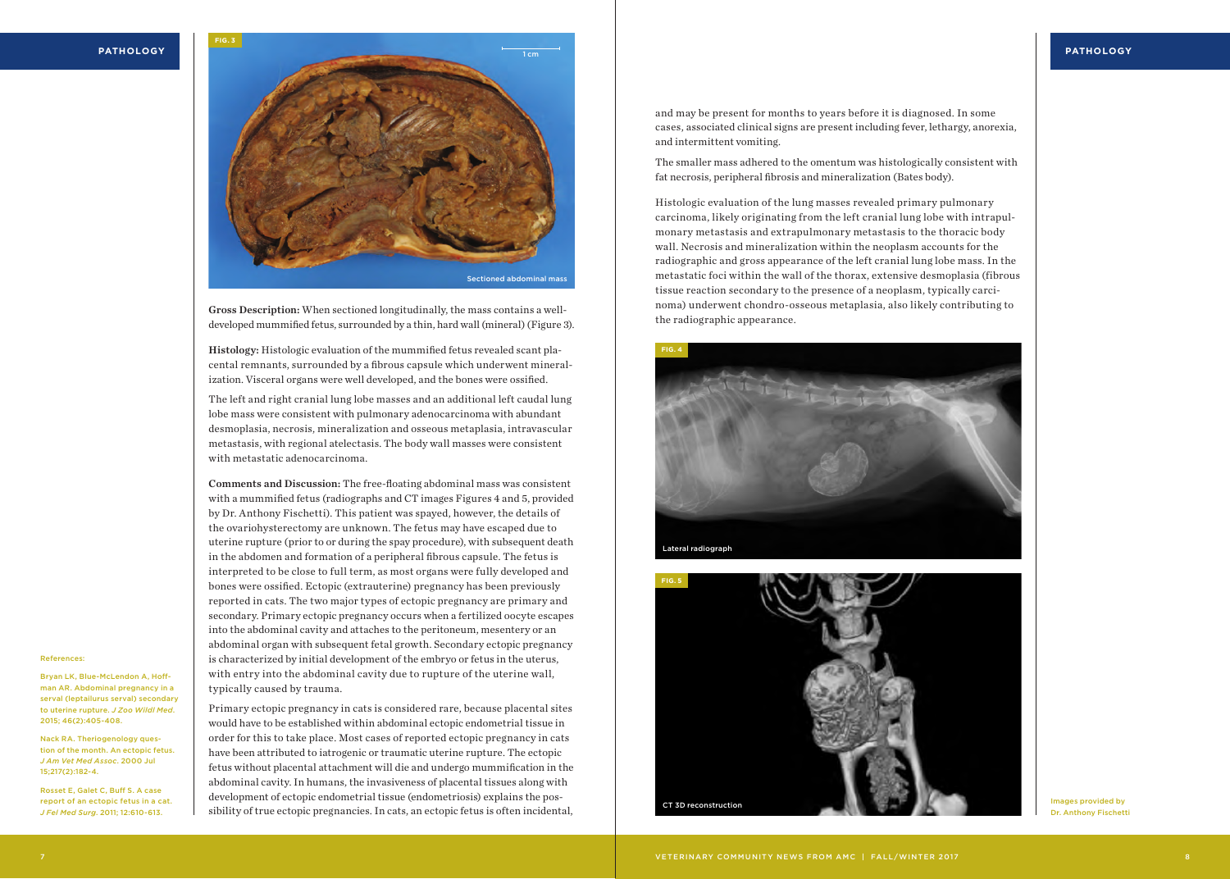**PATHOLOGY**



Gross Description: When sectioned longitudinally, the mass contains a welldeveloped mummified fetus, surrounded by a thin, hard wall (mineral) (Figure 3).

Histology: Histologic evaluation of the mummified fetus revealed scant placental remnants, surrounded by a fibrous capsule which underwent mineralization. Visceral organs were well developed, and the bones were ossified.

The left and right cranial lung lobe masses and an additional left caudal lung lobe mass were consistent with pulmonary adenocarcinoma with abundant desmoplasia, necrosis, mineralization and osseous metaplasia, intravascular metastasis, with regional atelectasis. The body wall masses were consistent with metastatic adenocarcinoma.

Comments and Discussion: The free-floating abdominal mass was consistent with a mummified fetus (radiographs and CT images Figures 4 and 5, provided by Dr. Anthony Fischetti). This patient was spayed, however, the details of the ovariohysterectomy are unknown. The fetus may have escaped due to uterine rupture (prior to or during the spay procedure), with subsequent death in the abdomen and formation of a peripheral fibrous capsule. The fetus is interpreted to be close to full term, as most organs were fully developed and bones were ossified. Ectopic (extrauterine) pregnancy has been previously reported in cats. The two major types of ectopic pregnancy are primary and secondary. Primary ectopic pregnancy occurs when a fertilized oocyte escapes into the abdominal cavity and attaches to the peritoneum, mesentery or an abdominal organ with subsequent fetal growth. Secondary ectopic pregnancy is characterized by initial development of the embryo or fetus in the uterus, with entry into the abdominal cavity due to rupture of the uterine wall, typically caused by trauma.

#### References:

Bryan LK, Blue-McLendon A, Hoffman AR. Abdominal pregnancy in a serval (leptailurus serval) secondary to uterine rupture. *J Zoo Wildl Med*. 2015; 46(2):405-408.

Nack RA. Theriogenology question of the month. An ectopic fetus. *J Am Vet Med Assoc*. 2000 Jul 15;217(2):182-4.

Rosset E, Galet C, Buff S. A case report of an ectopic fetus in a cat. *J Fel Med Surg*. 2011; 12:610-613.

Primary ectopic pregnancy in cats is considered rare, because placental sites would have to be established within abdominal ectopic endometrial tissue in order for this to take place. Most cases of reported ectopic pregnancy in cats have been attributed to iatrogenic or traumatic uterine rupture. The ectopic fetus without placental attachment will die and undergo mummification in the abdominal cavity. In humans, the invasiveness of placental tissues along with development of ectopic endometrial tissue (endometriosis) explains the possibility of true ectopic pregnancies. In cats, an ectopic fetus is often incidental, and may be present for months to years before it is diagnosed. In some cases, associated clinical signs are present including fever, lethargy, anorexia, and intermittent vomiting.

The smaller mass adhered to the omentum was histologically consistent with fat necrosis, peripheral fibrosis and mineralization (Bates body).

Histologic evaluation of the lung masses revealed primary pulmonary carcinoma, likely originating from the left cranial lung lobe with intrapulmonary metastasis and extrapulmonary metastasis to the thoracic body wall. Necrosis and mineralization within the neoplasm accounts for the radiographic and gross appearance of the left cranial lung lobe mass. In the metastatic foci within the wall of the thorax, extensive desmoplasia (fibrous tissue reaction secondary to the presence of a neoplasm, typically carcinoma) underwent chondro-osseous metaplasia, also likely contributing to the radiographic appearance.





Images provided by Dr. Anthony Fischetti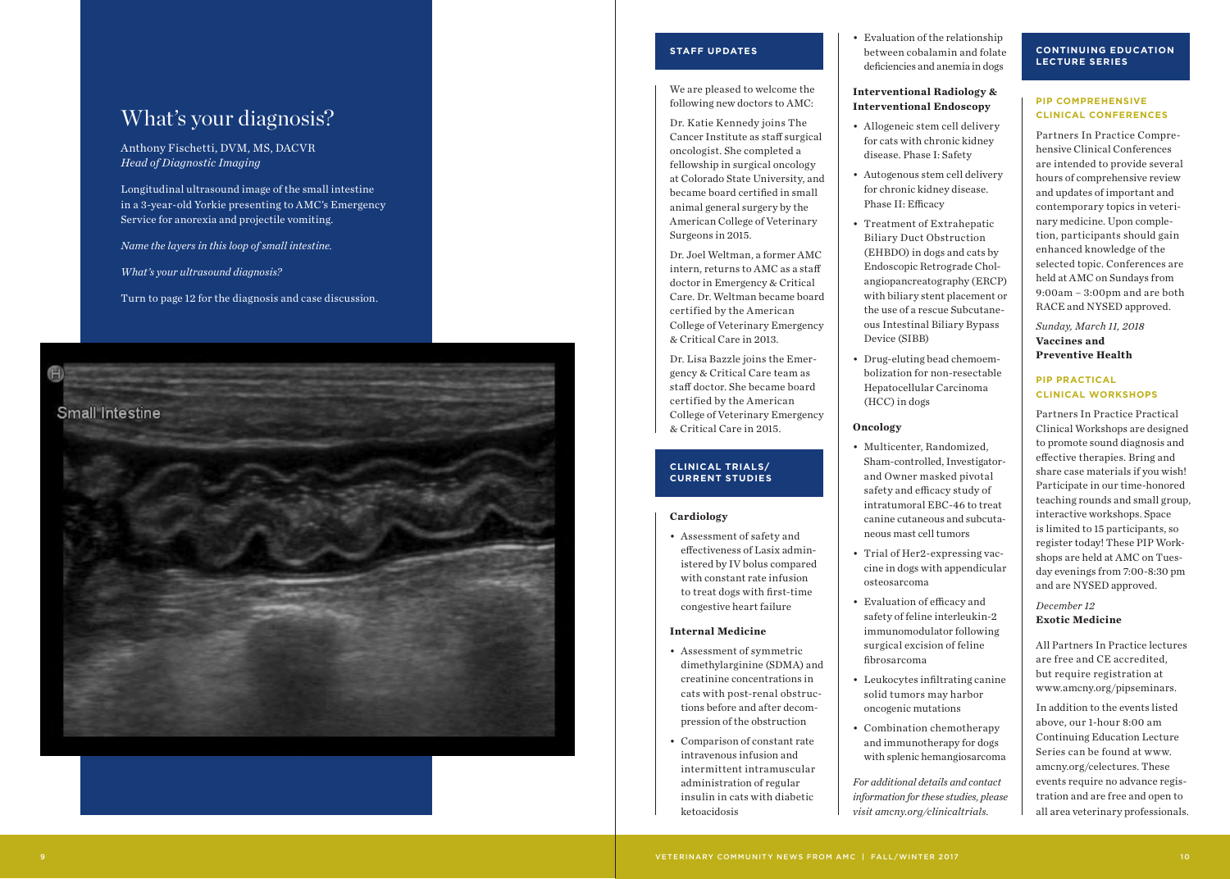# **STAFF UPDATES**

We are pleased to welcome the following new doctors to AMC:

Dr. Katie Kennedy joins The Cancer Institute as staff surgical oncologist. She completed a fellowship in surgical oncology at Colorado State University, and became board certified in small animal general surgery by the American College of Veterinary Surgeons in 2015.

Dr. Joel Weltman, a former AMC intern, returns to AMC as a staff doctor in Emergency & Critical Care. Dr. Weltman became board certified by the American College of Veterinary Emergency & Critical Care in 2013.

Dr. Lisa Bazzle joins the Emer gency & Critical Care team as staff doctor. She became board certified by the American College of Veterinary Emergency & Critical Care in 2015.

## **CLINICAL TRIALS/ CURRENT STUDIES**

### **Cardiology**

• Assessment of safety and effectiveness of Lasix admin istered by IV bolus compared with constant rate infusion to treat dogs with first-time congestive heart failure

### **Internal Medicine**

- Assessment of symmetric dimethylarginine (SDMA) and creatinine concentrations in cats with post-renal obstruc tions before and after decom pression of the obstruction
- Comparison of constant rate intravenous infusion and intermittent intramuscular administration of regular insulin in cats with diabetic ketoacidosis

• Evaluation of the relationship between cobalamin and folate deficiencies and anemia in dogs

## **Interventional Radiology & Interventional Endoscopy**

- Allogeneic stem cell delivery for cats with chronic kidney disease. Phase I: Safety
- Autogenous stem cell delivery for chronic kidney disease. Phase II: Efficacy
- Treatment of Extrahepatic Biliary Duct Obstruction (EHBDO) in dogs and cats by Endoscopic Retrograde Chol angiopancreatography (ERCP) with biliary stent placement or the use of a rescue Subcutane ous Intestinal Biliary Bypass Device (SIBB)
- Drug-eluting bead chemoem bolization for non-resectable Hepatocellular Carcinoma (HCC) in dogs

## **Oncology**

- Multicenter, Randomized, Sham-controlled, Investigatorand Owner masked pivotal safety and efficacy study of intratumoral EBC-46 to treat canine cutaneous and subcuta neous mast cell tumors
- Trial of Her2-expressing vac cine in dogs with appendicular osteosarcoma
- Evaluation of efficacy and safety of feline interleukin-2 immunomodulator following surgical excision of feline fibrosarcoma
- Leukocytes infiltrating canine solid tumors may harbor oncogenic mutations
- Combination chemotherapy and immunotherapy for dogs with splenic hemangiosarcoma

*For additional details and contact information for these studies, please visit amcny.org/clinicaltrials.*

## **CONTINUING EDUCATION LECTURE SERIES**

# **PIP COMPREHENSIVE CLINICAL CONFERENCES**

Partners In Practice Compre hensive Clinical Conferences are intended to provide several hours of comprehensive review and updates of important and contemporary topics in veteri nary medicine. Upon comple tion, participants should gain enhanced knowledge of the selected topic. Conferences are held at AMC on Sundays from 9:00am – 3:00pm and are both RACE and NYSED approved.

*Sunday, March 11, 2018* **Vaccines and Preventive Health**

# **PIP PRACTICAL CLINICAL WORKSHOPS**

Partners In Practice Practical Clinical Workshops are designed to promote sound diagnosis and effective therapies. Bring and share case materials if you wish! Participate in our time-honored teaching rounds and small group, interactive workshops. Space is limited to 15 participants, so register today! These PIP Work shops are held at AMC on Tues day evenings from 7:00-8:30 pm and are NYSED approved.

# *December 12* **Exotic Medicine**

All Partners In Practice lectures are free and CE accredited, but require registration at www.amcny.org/pipseminars.

In addition to the events listed above, our 1-hour 8:00 am Continuing Education Lecture Series can be found at www. amcny.org/celectures. These events require no advance regis tration and are free and open to all area veterinary professionals.

# What's your diagnosis?

Anthony Fischetti, DVM, MS, DACVR *Head of Diagnostic Imaging* 

Longitudinal ultrasound image of the small intestine in a 3-year-old Yorkie presenting to AMC's Emergency Service for anorexia and projectile vomiting.

*Name the layers in this loop of small intestine.*

*What's your ultrasound diagnosis?* 

Turn to page 12 for the diagnosis and case discussion.

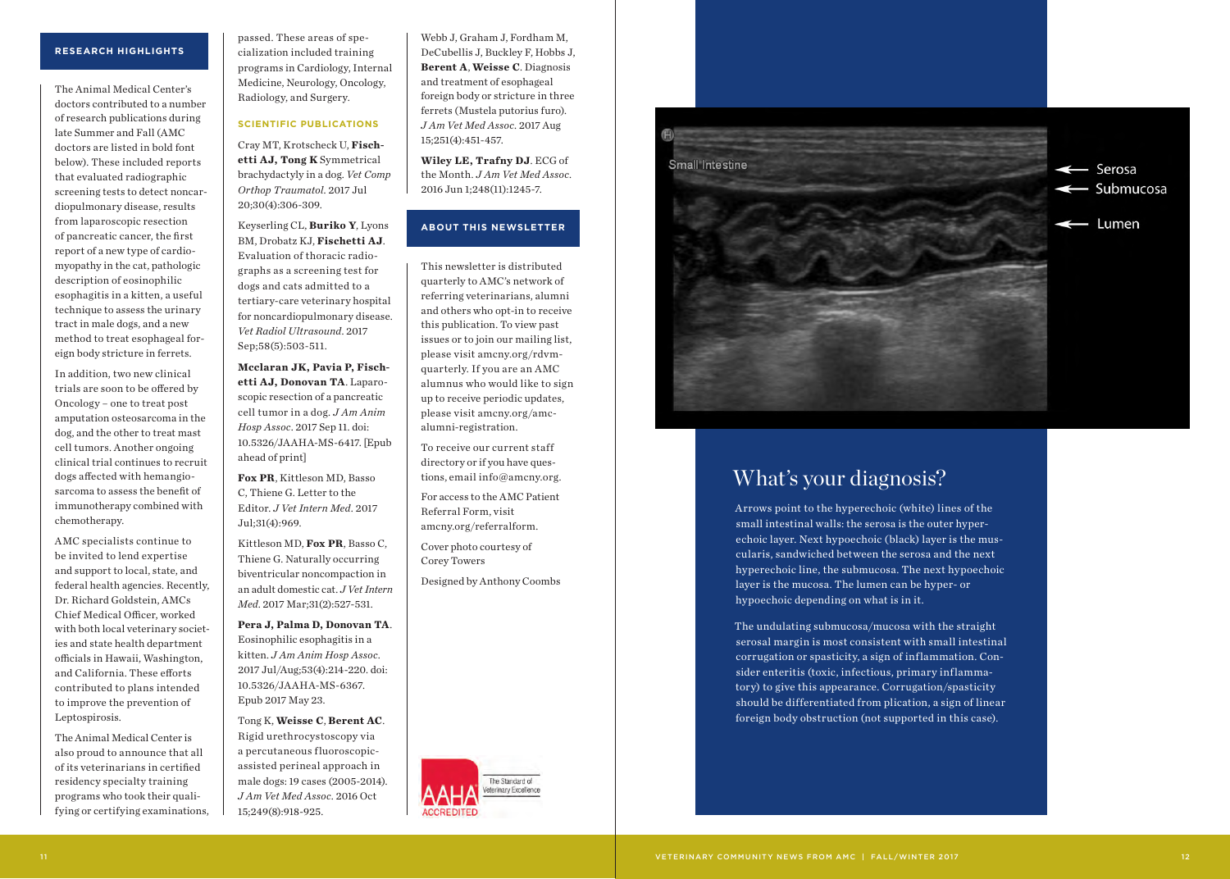# **RESEARCH HIGHLIGHTS**

The Animal Medical Center's doctors contributed to a number of research publications during late Summer and Fall (AMC doctors are listed in bold font below). These included reports that evaluated radiographic screening tests to detect noncar diopulmonary disease, results from laparoscopic resection of pancreatic cancer, the first report of a new type of cardio myopathy in the cat, pathologic description of eosinophilic esophagitis in a kitten, a useful technique to assess the urinary tract in male dogs, and a new method to treat esophageal for eign body stricture in ferrets.

In addition, two new clinical trials are soon to be offered by Oncology – one to treat post amputation osteosarcoma in the dog, and the other to treat mast cell tumors. Another ongoing clinical trial continues to recruit dogs affected with hemangio sarcoma to assess the benefit of immunotherapy combined with chemotherapy.

AMC specialists continue to be invited to lend expertise and support to local, state, and federal health agencies. Recently, Dr. Richard Goldstein, AMCs Chief Medical Officer, worked with both local veterinary societ ies and state health department officials in Hawaii, Washington, and California. These efforts contributed to plans intended to improve the prevention of Leptospirosis.

The Animal Medical Center is also proud to announce that all of its veterinarians in certified residency specialty training programs who took their qualifying or certifying examinations,

passed. These areas of spe cialization included training programs in Cardiology, Internal Medicine, Neurology, Oncology, Radiology, and Surgery.

# **SCIENTIFIC PUBLICATIONS**

Cray MT, Krotscheck U, **Fisch etti AJ, Tong K** Symmetrical brachydactyly in a dog. *Vet Comp Orthop Traumatol*. 2017 Jul 20;30(4):306-309.

Keyserling CL, **Buriko Y**, Lyons BM, Drobatz KJ, **Fischetti AJ**. Evaluation of thoracic radio graphs as a screening test for dogs and cats admitted to a tertiary-care veterinary hospital for noncardiopulmonary disease. *Vet Radiol Ultrasound*. 2017 Sep;58(5):503-511.

**Mcclaran JK, Pavia P, Fisch etti AJ, Donovan TA**. Laparo scopic resection of a pancreatic cell tumor in a dog. *J Am Anim Hosp Assoc*. 2017 Sep 11. doi: 10.5326/JAAHA-MS-6417. [Epub ahead of print]

**Fox PR**, Kittleson MD, Basso C, Thiene G. Letter to the Editor. *J Vet Intern Med*. 2017 Jul;31(4):969.

Kittleson MD, **Fox PR**, Basso C, Thiene G. Naturally occurring biventricular noncompaction in an adult domestic cat. *J Vet Intern Med*. 2017 Mar;31(2):527-531.

**Pera J, Palma D, Donovan TA** . Eosinophilic esophagitis in a kitten. *J Am Anim Hosp Assoc*. 2017 Jul/Aug;53(4):214-220. doi: 10.5326/JAAHA-MS-6367. Epub 2017 May 23.

Tong K, **Weisse C**, **Berent AC**. Rigid urethrocystoscopy via a percutaneous fluoroscopicassisted perineal approach in male dogs: 19 cases (2005-2014). *J Am Vet Med Assoc*. 2016 Oct 15;249(8):918-925.

Webb J, Graham J, Fordham M, DeCubellis J, Buckley F, Hobbs J, **Berent A**, **Weisse C**. Diagnosis and treatment of esophageal foreign body or stricture in three ferrets (Mustela putorius furo). *J Am Vet Med Assoc*. 2017 Aug 15;251(4):451-457.

**Wiley LE, Trafny DJ**. ECG of the Month. *J Am Vet Med Assoc*. 2016 Jun 1;248(11):1245-7.

# **ABOUT THIS NEWSLETTER**

This newsletter is distributed quarterly to AMC's network of referring veterinarians, alumni and others who opt-in to receive this publication. To view past issues or to join our mailing list, please visit amcny.org/rdvmquarterly. If you are an AMC alumnus who would like to sign up to receive periodic updates, please visit amcny.org/amcalumni-registration.

To receive our current staff directory or if you have ques tions, email info@amcny.org.

For access to the AMC Patient Referral Form, visit amcny.org/referralform.

Cover photo courtesy of Corey Towers

Designed by Anthony Coombs

The Standard of sterinary Excellence



# What's your diagnosis?

Arrows point to the hyperechoic (white) lines of the small intestinal walls: the serosa is the outer hyper echoic layer. Next hypoechoic (black) layer is the mus cularis, sandwiched between the serosa and the next hyperechoic line, the submucosa. The next hypoechoic layer is the mucosa. The lumen can be hyper- or hypoechoic depending on what is in it.

The undulating submucosa/mucosa with the straight serosal margin is most consistent with small intestinal corrugation or spasticity, a sign of inflammation. Con sider enteritis (toxic, infectious, primary inflamma tory) to give this appearance. Corrugation/spasticity should be differentiated from plication, a sign of linear foreign body obstruction (not supported in this case).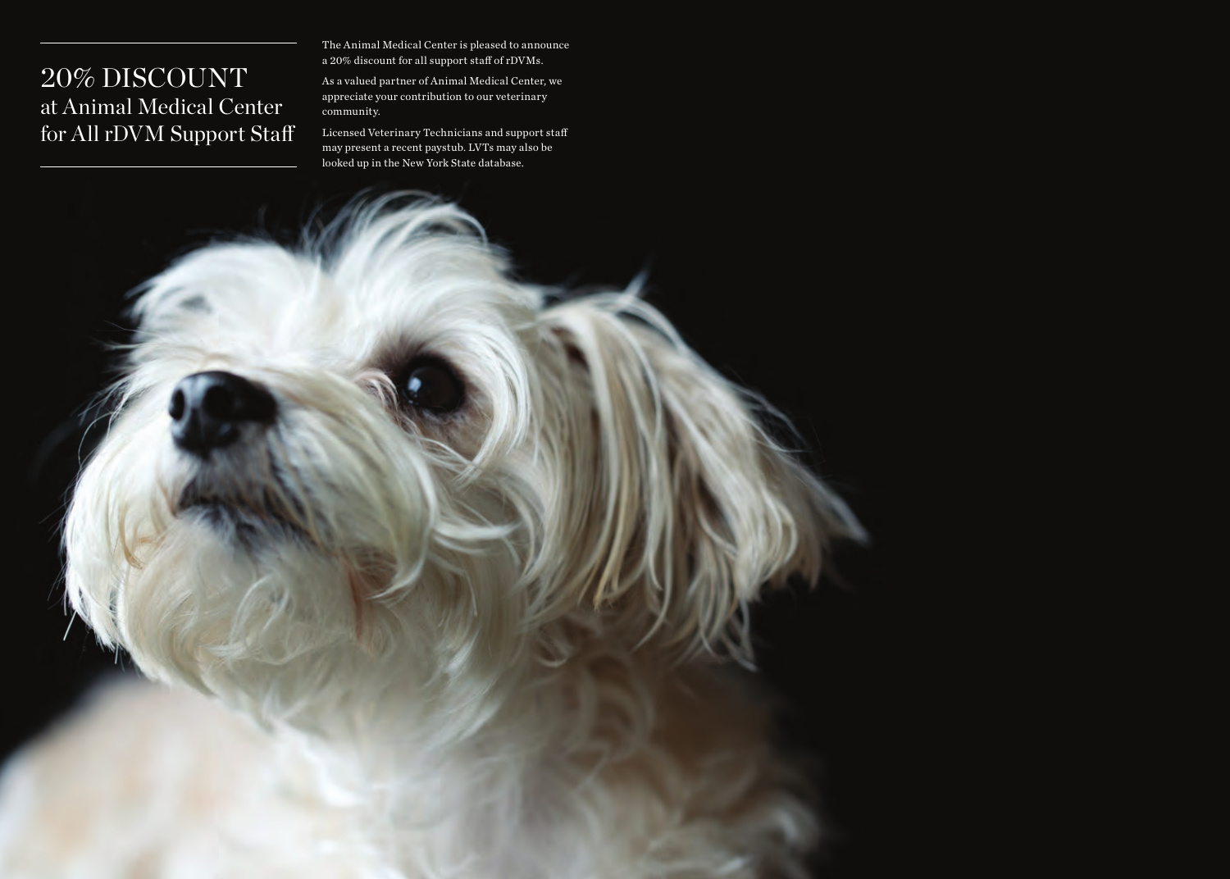# 20% DISCOUNT at Animal Medical Center for All rDVM Support Staff

The Animal Medical Center is pleased to announce a 20% discount for all support staff of rDVMs.

As a valued partner of Animal Medical Center, we appreciate your contribution to our veterinary community.

Licensed Veterinary Technicians and support staff may present a recent paystub. LVTs may also be looked up in the New York State database.